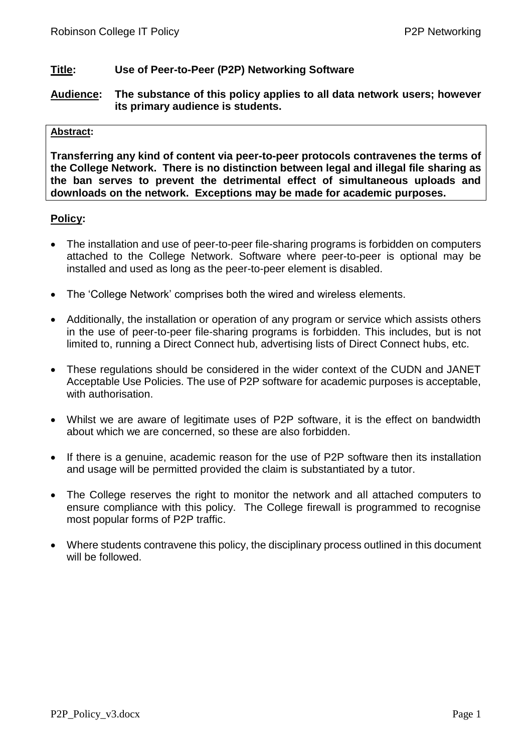## **Title: Use of Peer-to-Peer (P2P) Networking Software**

**Audience: The substance of this policy applies to all data network users; however its primary audience is students.**

#### **Abstract:**

**Transferring any kind of content via peer-to-peer protocols contravenes the terms of the College Network. There is no distinction between legal and illegal file sharing as the ban serves to prevent the detrimental effect of simultaneous uploads and downloads on the network. Exceptions may be made for academic purposes.** 

## **Policy:**

- The installation and use of peer-to-peer file-sharing programs is forbidden on computers attached to the College Network. Software where peer-to-peer is optional may be installed and used as long as the peer-to-peer element is disabled.
- The 'College Network' comprises both the wired and wireless elements.
- Additionally, the installation or operation of any program or service which assists others in the use of peer-to-peer file-sharing programs is forbidden. This includes, but is not limited to, running a Direct Connect hub, advertising lists of Direct Connect hubs, etc.
- These regulations should be considered in the wider context of the CUDN and JANET Acceptable Use Policies. The use of P2P software for academic purposes is acceptable, with authorisation.
- Whilst we are aware of legitimate uses of P2P software, it is the effect on bandwidth about which we are concerned, so these are also forbidden.
- If there is a genuine, academic reason for the use of P2P software then its installation and usage will be permitted provided the claim is substantiated by a tutor.
- The College reserves the right to monitor the network and all attached computers to ensure compliance with this policy. The College firewall is programmed to recognise most popular forms of P2P traffic.
- Where students contravene this policy, the disciplinary process outlined in this document will be followed.